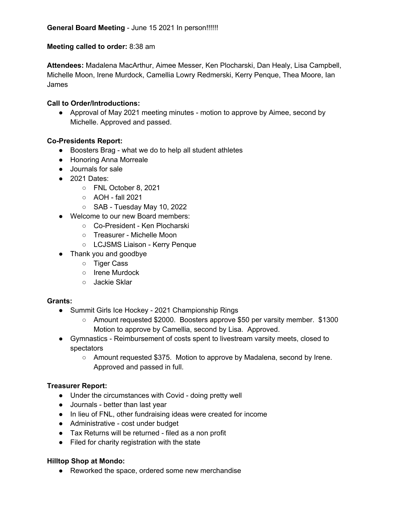# **Meeting called to order:** 8:38 am

**Attendees:** Madalena MacArthur, Aimee Messer, Ken Plocharski, Dan Healy, Lisa Campbell, Michelle Moon, Irene Murdock, Camellia Lowry Redmerski, Kerry Penque, Thea Moore, Ian James

## **Call to Order/Introductions:**

● Approval of May 2021 meeting minutes - motion to approve by Aimee, second by Michelle. Approved and passed.

## **Co-Presidents Report:**

- Boosters Brag what we do to help all student athletes
- Honoring Anna Morreale
- Journals for sale
- 2021 Dates:
	- FNL October 8, 2021
	- AOH fall 2021
	- SAB Tuesday May 10, 2022
- Welcome to our new Board members:
	- Co-President Ken Plocharski
	- Treasurer Michelle Moon
	- LCJSMS Liaison Kerry Penque
- Thank you and goodbye
	- Tiger Cass
	- Irene Murdock
	- Jackie Sklar

#### **Grants:**

- Summit Girls Ice Hockey 2021 Championship Rings
	- Amount requested \$2000. Boosters approve \$50 per varsity member. \$1300 Motion to approve by Camellia, second by Lisa. Approved.
- Gymnastics Reimbursement of costs spent to livestream varsity meets, closed to spectators
	- Amount requested \$375. Motion to approve by Madalena, second by Irene. Approved and passed in full.

#### **Treasurer Report:**

- Under the circumstances with Covid doing pretty well
- Journals better than last year
- In lieu of FNL, other fundraising ideas were created for income
- Administrative cost under budget
- Tax Returns will be returned filed as a non profit
- Filed for charity registration with the state

#### **Hilltop Shop at Mondo:**

● Reworked the space, ordered some new merchandise